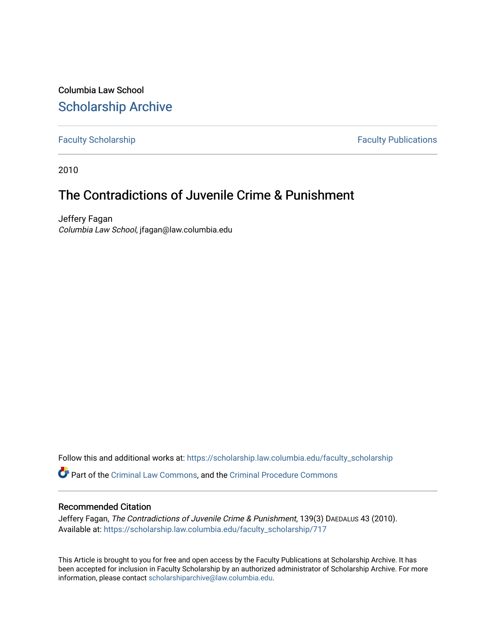Columbia Law School [Scholarship Archive](https://scholarship.law.columbia.edu/) 

[Faculty Scholarship](https://scholarship.law.columbia.edu/faculty_scholarship) **Faculty Scholarship Faculty Publications** 

2010

### The Contradictions of Juvenile Crime & Punishment

Jeffery Fagan Columbia Law School, jfagan@law.columbia.edu

Follow this and additional works at: [https://scholarship.law.columbia.edu/faculty\\_scholarship](https://scholarship.law.columbia.edu/faculty_scholarship?utm_source=scholarship.law.columbia.edu%2Ffaculty_scholarship%2F717&utm_medium=PDF&utm_campaign=PDFCoverPages)

Part of the [Criminal Law Commons,](http://network.bepress.com/hgg/discipline/912?utm_source=scholarship.law.columbia.edu%2Ffaculty_scholarship%2F717&utm_medium=PDF&utm_campaign=PDFCoverPages) and the [Criminal Procedure Commons](http://network.bepress.com/hgg/discipline/1073?utm_source=scholarship.law.columbia.edu%2Ffaculty_scholarship%2F717&utm_medium=PDF&utm_campaign=PDFCoverPages)

### Recommended Citation

Jeffery Fagan, The Contradictions of Juvenile Crime & Punishment, 139(3) DAEDALUS 43 (2010). Available at: [https://scholarship.law.columbia.edu/faculty\\_scholarship/717](https://scholarship.law.columbia.edu/faculty_scholarship/717?utm_source=scholarship.law.columbia.edu%2Ffaculty_scholarship%2F717&utm_medium=PDF&utm_campaign=PDFCoverPages) 

This Article is brought to you for free and open access by the Faculty Publications at Scholarship Archive. It has been accepted for inclusion in Faculty Scholarship by an authorized administrator of Scholarship Archive. For more information, please contact [scholarshiparchive@law.columbia.edu.](mailto:scholarshiparchive@law.columbia.edu)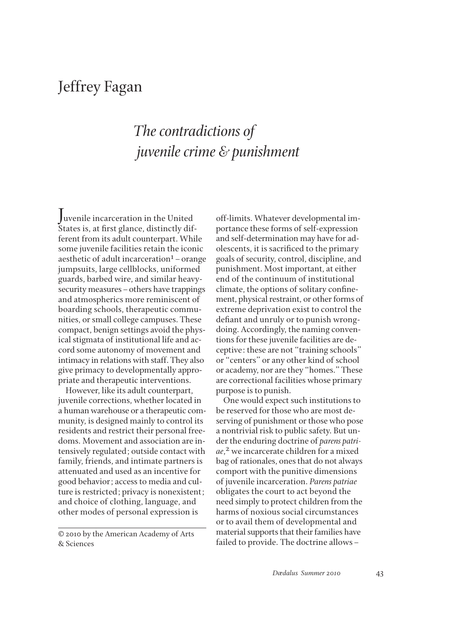## Jeffrey Fagan

# *The contradictions of juvenile crime & punishment*

Juvenile incarceration in the United States is, at first glance, distinctly different from its adult counterpart. While some juvenile facilities retain the iconic aesthetic of adult incarceration $1$  – orange jumpsuits, large cellblocks, uniformed guards, barbed wire, and similar heavysecurity measures–others have trappings and atmospherics more reminiscent of boarding schools, therapeutic communities, or small college campuses. These compact, benign settings avoid the physical stigmata of institutional life and accord some autonomy of movement and intimacy in relations with staff. They also give primacy to developmentally appropriate and therapeutic interventions.

However, like its adult counterpart, juvenile corrections, whether located in a human warehouse or a therapeutic community, is designed mainly to control its residents and restrict their personal freedoms. Movement and association are intensively regulated; outside contact with family, friends, and intimate partners is attenuated and used as an incentive for good behavior; access to media and culture is restricted; privacy is nonexistent; and choice of clothing, language, and other modes of personal expression is

off-limits. Whatever developmental importance these forms of self-expression and self-determination may have for adolescents, it is sacrificed to the primary goals of security, control, discipline, and punishment. Most important, at either end of the continuum of institutional climate, the options of solitary confinement, physical restraint, or other forms of extreme deprivation exist to control the defiant and unruly or to punish wrongdoing. Accordingly, the naming conventions for these juvenile facilities are deceptive: these are not "training schools" or "centers" or any other kind of school or academy, nor are they "homes." These are correctional facilities whose primary purpose is to punish.

One would expect such institutions to be reserved for those who are most deserving of punishment or those who pose a nontrivial risk to public safety. But under the enduring doctrine of *parens patriae*, 2 we incarcerate children for a mixed bag of rationales, ones that do not always comport with the punitive dimensions of juvenile incarceration. *Parens patriae* obligates the court to act beyond the need simply to protect children from the harms of noxious social circumstances or to avail them of developmental and material supports that their families have failed to provide. The doctrine allows–

<sup>© 2010</sup> by the American Academy of Arts & Sciences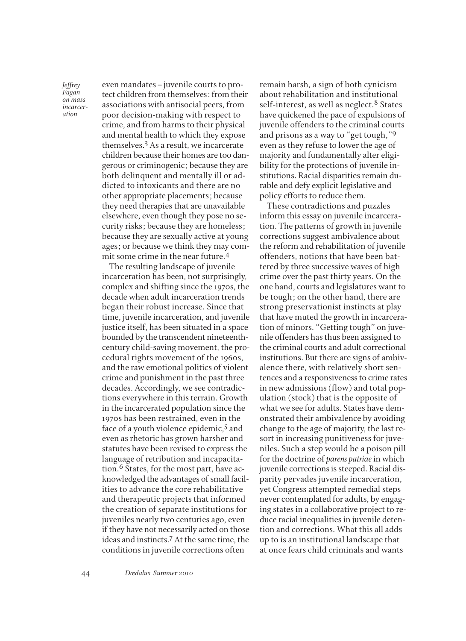even mandates–juvenile courts to protect children from themselves: from their associations with antisocial peers, from poor decision-making with respect to crime, and from harms to their physical and mental health to which they expose themselves.3 As a result, we incarcerate children because their homes are too dangerous or criminogenic; because they are both delinquent and mentally ill or addicted to intoxicants and there are no other appropriate placements; because they need therapies that are unavailable elsewhere, even though they pose no security risks; because they are homeless; because they are sexually active at young ages; or because we think they may commit some crime in the near future.4

The resulting landscape of juvenile incarceration has been, not surprisingly, complex and shifting since the 1970s, the decade when adult incarceration trends began their robust increase. Since that time, juvenile incarceration, and juvenile justice itself, has been situated in a space bounded by the transcendent nineteenthcentury child-saving movement, the procedural rights movement of the 1960s, and the raw emotional politics of violent crime and punishment in the past three decades. Accordingly, we see contradictions everywhere in this terrain. Growth in the incarcerated population since the 1970s has been restrained, even in the face of a youth violence epidemic,<sup>5</sup> and even as rhetoric has grown harsher and statutes have been revised to express the language of retribution and incapacitation.<sup>6</sup> States, for the most part, have acknowledged the advantages of small facilities to advance the core rehabilitative and therapeutic projects that informed the creation of separate institutions for juveniles nearly two centuries ago, even if they have not necessarily acted on those ideas and instincts.7 At the same time, the conditions in juvenile corrections often

remain harsh, a sign of both cynicism about rehabilitation and institutional self-interest, as well as neglect.<sup>8</sup> States have quickened the pace of expulsions of juvenile offenders to the criminal courts and prisons as a way to "get tough,"9 even as they refuse to lower the age of majority and fundamentally alter eligibility for the protections of juvenile institutions. Racial disparities remain durable and defy explicit legislative and policy efforts to reduce them.

These contradictions and puzzles inform this essay on juvenile incarceration. The patterns of growth in juvenile corrections suggest ambivalence about the reform and rehabilitation of juvenile offenders, notions that have been battered by three successive waves of high crime over the past thirty years. On the one hand, courts and legislatures want to be tough; on the other hand, there are strong preservationist instincts at play that have muted the growth in incarceration of minors. "Getting tough" on juvenile offenders has thus been assigned to the criminal courts and adult correctional institutions. But there are signs of ambivalence there, with relatively short sentences and a responsiveness to crime rates in new admissions (flow) and total population (stock) that is the opposite of what we see for adults. States have demonstrated their ambivalence by avoiding change to the age of majority, the last resort in increasing punitiveness for juveniles. Such a step would be a poison pill for the doctrine of *parens patriae* in which juvenile corrections is steeped. Racial disparity pervades juvenile incarceration, yet Congress attempted remedial steps never contemplated for adults, by engaging states in a collaborative project to reduce racial inequalities in juvenile detention and corrections. What this all adds up to is an institutional landscape that at once fears child criminals and wants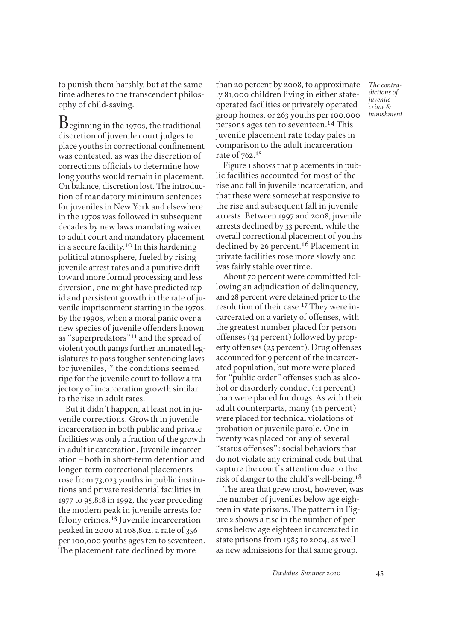to punish them harshly, but at the same time adheres to the transcendent philosophy of child-saving.

 $\mathbf B$ eginning in the 1970s, the traditional discretion of juvenile court judges to place youths in correctional confinement was contested, as was the discretion of corrections officials to determine how long youths would remain in placement. On balance, discretion lost. The introduction of mandatory minimum sentences for juveniles in New York and elsewhere in the 1970s was followed in subsequent decades by new laws mandating waiver to adult court and mandatory placement in a secure facility.10 In this hardening political atmosphere, fueled by rising juvenile arrest rates and a punitive drift toward more formal processing and less diversion, one might have predicted rapid and persistent growth in the rate of juvenile imprisonment starting in the 1970s. By the 1990s, when a moral panic over a new species of juvenile offenders known as "superpredators"11 and the spread of violent youth gangs further animated legislatures to pass tougher sentencing laws for juveniles,<sup>12</sup> the conditions seemed ripe for the juvenile court to follow a trajectory of incarceration growth similar to the rise in adult rates.

But it didn't happen, at least not in juvenile corrections. Growth in juvenile incarceration in both public and private facilities was only a fraction of the growth in adult incarceration. Juvenile incarceration–both in short-term detention and longer-term correctional placements– rose from 73,023 youths in public institutions and private residential facilities in 1977 to 95,818 in 1992, the year preceding the modern peak in juvenile arrests for felony crimes.13 Juvenile incarceration peaked in 2000 at 108,802, a rate of 356 per 100,000 youths ages ten to seventeen. The placement rate declined by more

than 20 percent by 2008, to approximately 81,000 children living in either stateoperated facilities or privately operated group homes, or 263 youths per 100,000 persons ages ten to seventeen.14 This juvenile placement rate today pales in comparison to the adult incarceration rate of 762.15

Figure 1 shows that placements in public facilities accounted for most of the rise and fall in juvenile incarceration, and that these were somewhat responsive to the rise and subsequent fall in juvenile arrests. Between 1997 and 2008, juvenile arrests declined by 33 percent, while the overall correctional placement of youths declined by 26 percent.<sup>16</sup> Placement in private facilities rose more slowly and was fairly stable over time.

About 70 percent were committed following an adjudication of delinquency, and 28 percent were detained prior to the resolution of their case.<sup>17</sup> They were incarcerated on a variety of offenses, with the greatest number placed for person offenses (34 percent) followed by property offenses (25 percent). Drug offenses accounted for 9 percent of the incarcerated population, but more were placed for "public order" offenses such as alcohol or disorderly conduct (11 percent) than were placed for drugs. As with their adult counterparts, many (16 percent) were placed for technical violations of probation or juvenile parole. One in twenty was placed for any of several "status offenses": social behaviors that do not violate any criminal code but that capture the court's attention due to the risk of danger to the child's well-being.<sup>18</sup>

The area that grew most, however, was the number of juveniles below age eighteen in state prisons. The pattern in Figure 2 shows a rise in the number of persons below age eighteen incarcerated in state prisons from 1985 to 2004, as well as new admissions for that same group.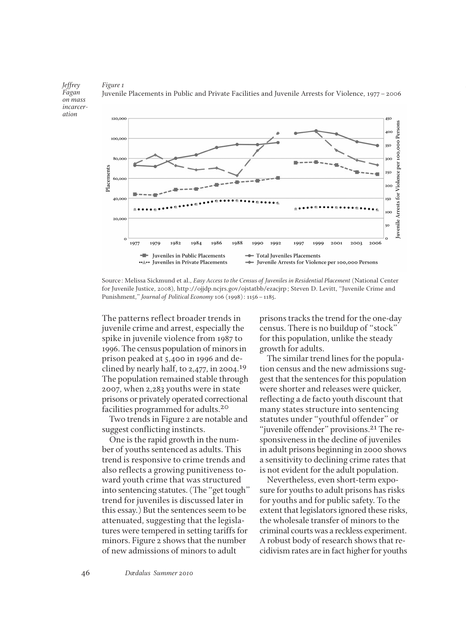

Juvenile Placements in Public and Private Facilities and Juvenile Arrests for Violence, 1977–2006

Source: Melissa Sickmund et al., *Easy Access to the Census of Juveniles in Residential Placement* (National Center for Juvenile Justice, 2008), http://ojjdp.ncjrs.gov/ojstatbb/ezacjrp; Steven D. Levitt, "Juvenile Crime and Punishment," *Journal of Political Economy* 106 (1998): 1156–1185.

The patterns reflect broader trends in juvenile crime and arrest, especially the spike in juvenile violence from 1987 to 1996. The census population of minors in prison peaked at 5,400 in 1996 and declined by nearly half, to 2,477, in 2004.<sup>19</sup> The population remained stable through 2007, when 2,283 youths were in state prisons or privately operated correctional facilities programmed for adults.20

Two trends in Figure 2 are notable and suggest conflicting instincts.

One is the rapid growth in the number of youths sentenced as adults. This trend is responsive to crime trends and also reflects a growing punitiveness toward youth crime that was structured into sentencing statutes. (The "get tough" trend for juveniles is discussed later in this essay.) But the sentences seem to be attenuated, suggesting that the legislatures were tempered in setting tariffs for minors. Figure 2 shows that the number of new admissions of minors to adult

prisons tracks the trend for the one-day census. There is no buildup of "stock" for this population, unlike the steady growth for adults.

The similar trend lines for the population census and the new admissions suggest that the sentences for this population were shorter and releases were quicker, reflecting a de facto youth discount that many states structure into sentencing statutes under "youthful offender" or "juvenile offender" provisions.<sup>21</sup> The responsiveness in the decline of juveniles in adult prisons beginning in 2000 shows a sensitivity to declining crime rates that is not evident for the adult population.

Nevertheless, even short-term exposure for youths to adult prisons has risks for youths and for public safety. To the extent that legislators ignored these risks, the wholesale transfer of minors to the criminal courts was a reckless experiment. A robust body of research shows that recidivism rates are in fact higher for youths

#### 46 *Dædalus Summer 2010*

*Jeffrey Fagan on mass incarceration*

*Figure 1*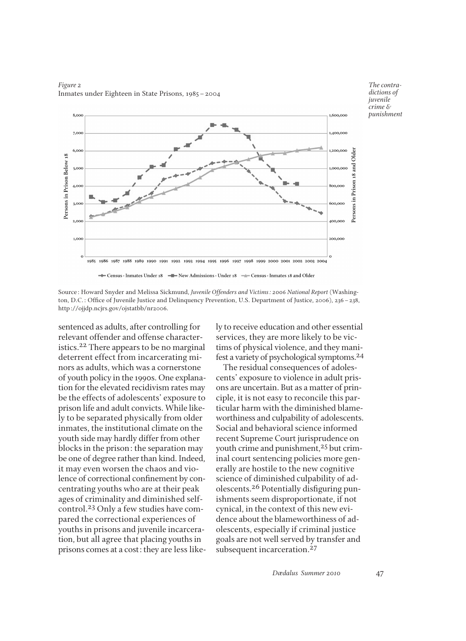

*Figure 2* Inmates under Eighteen in State Prisons, 1985–2004

*The contradictions of juvenile crime & punishment*

Source: Howard Snyder and Melissa Sickmund, *Juvenile Offenders and Victims: 2006 National Report* (Washington, D.C.: Office of Juvenile Justice and Delinquency Prevention, U.S. Department of Justice, 2006), 236-238, http://ojjdp.ncjrs.gov/ojstatbb/nr2006.

sentenced as adults, after controlling for relevant offender and offense characteristics.22 There appears to be no marginal deterrent effect from incarcerating minors as adults, which was a cornerstone of youth policy in the 1990s. One explanation for the elevated recidivism rates may be the effects of adolescents' exposure to prison life and adult convicts. While likely to be separated physically from older inmates, the institutional climate on the youth side may hardly differ from other blocks in the prison: the separation may be one of degree rather than kind. Indeed, it may even worsen the chaos and violence of correctional confinement by concentrating youths who are at their peak ages of criminality and diminished selfcontrol.23 Only a few studies have compared the correctional experiences of youths in prisons and juvenile incarceration, but all agree that placing youths in prisons comes at a cost: they are less likely to receive education and other essential services, they are more likely to be victims of physical violence, and they manifest a variety of psychological symptoms.24

The residual consequences of adolescents' exposure to violence in adult prisons are uncertain. But as a matter of principle, it is not easy to reconcile this particular harm with the diminished blameworthiness and culpability of adolescents. Social and behavioral science informed recent Supreme Court jurisprudence on youth crime and punishment,<sup>25</sup> but criminal court sentencing policies more generally are hostile to the new cognitive science of diminished culpability of adolescents.<sup>26</sup> Potentially disfiguring punishments seem disproportionate, if not cynical, in the context of this new evidence about the blameworthiness of adolescents, especially if criminal justice goals are not well served by transfer and subsequent incarceration.<sup>27</sup>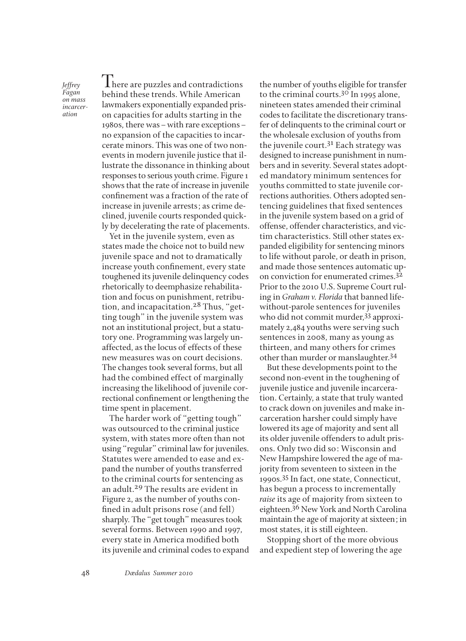**There are puzzles and contradictions** behind these trends. While American lawmakers exponentially expanded prison capacities for adults starting in the 1980s, there was–with rare exceptions– no expansion of the capacities to incarcerate minors. This was one of two nonevents in modern juvenile justice that illustrate the dissonance in thinking about responses to serious youth crime. Figure 1 shows that the rate of increase in juvenile confinement was a fraction of the rate of increase in juvenile arrests; as crime declined, juvenile courts responded quickly by decelerating the rate of placements.

Yet in the juvenile system, even as states made the choice not to build new juvenile space and not to dramatically increase youth confinement, every state toughened its juvenile delinquency codes rhetorically to deemphasize rehabilitation and focus on punishment, retribution, and incapacitation.28 Thus, "getting tough" in the juvenile system was not an institutional project, but a statutory one. Programming was largely unaffected, as the locus of effects of these new measures was on court decisions. The changes took several forms, but all had the combined effect of marginally increasing the likelihood of juvenile correctional confinement or lengthening the time spent in placement.

The harder work of "getting tough" was outsourced to the criminal justice system, with states more often than not using "regular" criminal law for juveniles. Statutes were amended to ease and expand the number of youths transferred to the criminal courts for sentencing as an adult.29 The results are evident in Figure 2, as the number of youths con fined in adult prisons rose (and fell) sharply. The "get tough" measures took several forms. Between 1990 and 1997, every state in America modified both its juvenile and criminal codes to expand

the number of youths eligible for transfer to the criminal courts.30 In 1995 alone, nineteen states amended their criminal codes to facilitate the discretionary transfer of delinquents to the criminal court or the wholesale exclusion of youths from the juvenile court.31 Each strategy was designed to increase punishment in numbers and in severity. Several states adopted mandatory minimum sentences for youths committed to state juvenile corrections authorities. Others adopted sentencing guidelines that fixed sentences in the juvenile system based on a grid of offense, offender characteristics, and victim characteristics. Still other states expanded eligibility for sentencing minors to life without parole, or death in prison, and made those sentences automatic upon conviction for enumerated crimes.32 Prior to the 2010 U.S. Supreme Court ruling in *Graham v. Florida* that banned lifewithout-parole sentences for juveniles who did not commit murder, 33 approximately 2,484 youths were serving such sentences in 2008, many as young as thirteen, and many others for crimes other than murder or manslaughter.34

But these developments point to the second non-event in the toughening of juvenile justice and juvenile incarceration. Certainly, a state that truly wanted to crack down on juveniles and make incarceration harsher could simply have lowered its age of majority and sent all its older juvenile offenders to adult prisons. Only two did so: Wisconsin and New Hampshire lowered the age of majority from seventeen to sixteen in the 1990s.35 In fact, one state, Connecticut, has begun a process to incrementally *raise* its age of majority from sixteen to eighteen.36 New York and North Carolina maintain the age of majority at sixteen; in most states, it is still eighteen.

Stopping short of the more obvious and expedient step of lowering the age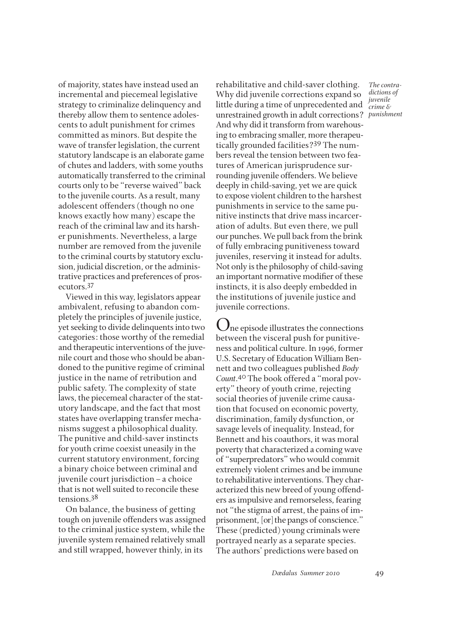of majority, states have instead used an incremental and piecemeal legislative strategy to criminalize delinquency and thereby allow them to sentence adolescents to adult punishment for crimes committed as minors. But despite the wave of transfer legislation, the current statutory landscape is an elaborate game of chutes and ladders, with some youths automatically transferred to the criminal courts only to be "reverse waived" back to the juvenile courts. As a result, many adolescent offenders (though no one knows exactly how many) escape the reach of the criminal law and its harsher punishments. Nevertheless, a large number are removed from the juvenile to the criminal courts by statutory exclusion, judicial discretion, or the administrative practices and preferences of prosecutors.37

Viewed in this way, legislators appear ambivalent, refusing to abandon completely the principles of juvenile justice, yet seeking to divide delinquents into two categories: those worthy of the remedial and therapeutic interventions of the juvenile court and those who should be abandoned to the punitive regime of criminal justice in the name of retribution and public safety. The complexity of state laws, the piecemeal character of the statutory landscape, and the fact that most states have overlapping transfer mechanisms suggest a philosophical duality. The punitive and child-saver instincts for youth crime coexist uneasily in the current statutory environment, forcing a binary choice between criminal and juvenile court jurisdiction–a choice that is not well suited to reconcile these tensions.38

On balance, the business of getting tough on juvenile offenders was assigned to the criminal justice system, while the juvenile system remained relatively small and still wrapped, however thinly, in its

rehabilitative and child-saver clothing. Why did juvenile corrections expand so little during a time of unprecedented and unrestrained growth in adult corrections? *punishment*And why did it transform from warehousing to embracing smaller, more therapeutically grounded facilities?39 The numbers reveal the tension between two features of American jurisprudence surrounding juvenile offenders. We believe deeply in child-saving, yet we are quick to expose violent children to the harshest punishments in service to the same punitive instincts that drive mass incarceration of adults. But even there, we pull our punches. We pull back from the brink of fully embracing punitiveness toward juveniles, reserving it instead for adults. Not only is the philosophy of child-saving an important normative modifier of these instincts, it is also deeply embedded in the institutions of juvenile justice and juvenile corrections.

 $\mathbf{U}$ ne episode illustrates the connections between the visceral push for punitiveness and political culture. In 1996, former U.S. Secretary of Education William Bennett and two colleagues published *Body Count*. 40 The book offered a "moral poverty" theory of youth crime, rejecting social theories of juvenile crime causation that focused on economic poverty, discrimination, family dysfunction, or savage levels of inequality. Instead, for Bennett and his coauthors, it was moral poverty that characterized a coming wave of "superpredators" who would commit extremely violent crimes and be immune to rehabilitative interventions. They characterized this new breed of young offenders as impulsive and remorseless, fearing not "the stigma of arrest, the pains of imprisonment, [or] the pangs of conscience." These (predicted) young criminals were portrayed nearly as a separate species. The authors' predictions were based on

*The contradictions of juvenile crime &*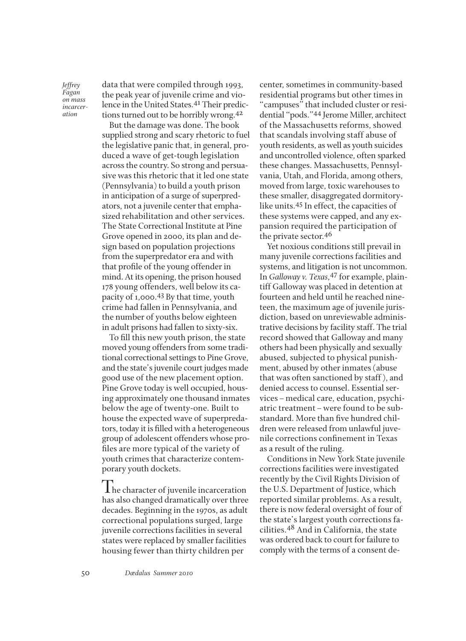data that were compiled through 1993, the peak year of juvenile crime and violence in the United States.41 Their predictions turned out to be horribly wrong.42

But the damage was done. The book supplied strong and scary rhetoric to fuel the legislative panic that, in general, produced a wave of get-tough legislation across the country. So strong and persuasive was this rhetoric that it led one state (Pennsylvania) to build a youth prison in anticipation of a surge of superpredators, not a juvenile center that emphasized rehabilitation and other services. The State Correctional Institute at Pine Grove opened in 2000, its plan and design based on population projections from the superpredator era and with that profile of the young offender in mind. At its opening, the prison housed 178 young offenders, well below its capacity of 1,000.43 By that time, youth crime had fallen in Pennsylvania, and the number of youths below eighteen in adult prisons had fallen to sixty-six.

To fill this new youth prison, the state moved young offenders from some traditional correctional settings to Pine Grove, and the state's juvenile court judges made good use of the new placement option. Pine Grove today is well occupied, housing approximately one thousand inmates below the age of twenty-one. Built to house the expected wave of superpredators, today it is filled with a heterogeneous group of adolescent offenders whose pro files are more typical of the variety of youth crimes that characterize contemporary youth dockets.

The character of juvenile incarceration has also changed dramatically over three decades. Beginning in the 1970s, as adult correctional populations surged, large juvenile corrections facilities in several states were replaced by smaller facilities housing fewer than thirty children per

center, sometimes in community-based residential programs but other times in "campuses" that included cluster or residential "pods."44 Jerome Miller, architect of the Massachusetts reforms, showed that scandals involving staff abuse of youth residents, as well as youth suicides and uncontrolled violence, often sparked these changes. Massachusetts, Pennsylvania, Utah, and Florida, among others, moved from large, toxic warehouses to these smaller, disaggregated dormitorylike units.45 In effect, the capacities of these systems were capped, and any expansion required the participation of the private sector.46

Yet noxious conditions still prevail in many juvenile corrections facilities and systems, and litigation is not uncommon. In *Galloway v. Texas*, 47 for example, plaintiff Galloway was placed in detention at fourteen and held until he reached nineteen, the maximum age of juvenile jurisdiction, based on unreviewable administrative decisions by facility staff. The trial record showed that Galloway and many others had been physically and sexually abused, subjected to physical punishment, abused by other inmates (abuse that was often sanctioned by staff ), and denied access to counsel. Essential services–medical care, education, psychiatric treatment–were found to be substandard. More than five hundred children were released from unlawful juvenile corrections confinement in Texas as a result of the ruling.

Conditions in New York State juvenile corrections facilities were investigated recently by the Civil Rights Division of the U.S. Department of Justice, which reported similar problems. As a result, there is now federal oversight of four of the state's largest youth corrections facilities.48 And in California, the state was ordered back to court for failure to comply with the terms of a consent de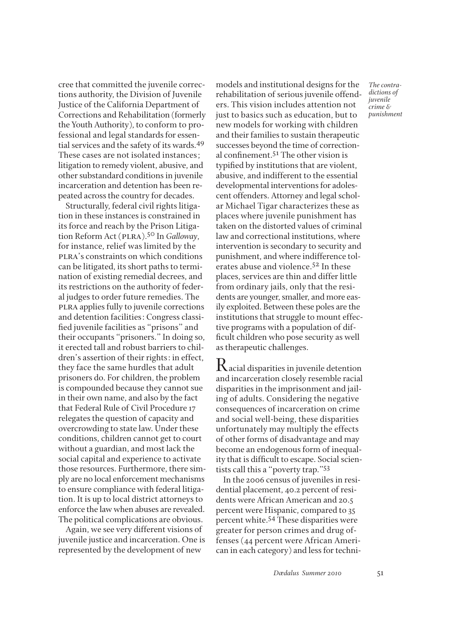cree that committed the juvenile corrections authority, the Division of Juvenile Justice of the California Department of Corrections and Rehabilitation (formerly the Youth Authority), to conform to professional and legal standards for essential services and the safety of its wards.49 These cases are not isolated instances; litigation to remedy violent, abusive, and other substandard conditions in juvenile incarceration and detention has been repeated across the country for decades.

Structurally, federal civil rights litigation in these instances is constrained in its force and reach by the Prison Litigation Reform Act (plra).<sup>50</sup> In *Galloway*, for instance, relief was limited by the plra's constraints on which conditions can be litigated, its short paths to termination of existing remedial decrees, and its restrictions on the authority of federal judges to order future remedies. The plra applies fully to juvenile corrections and detention facilities: Congress classi fied juvenile facilities as "prisons" and their occupants "prisoners." In doing so, it erected tall and robust barriers to children's assertion of their rights: in effect, they face the same hurdles that adult prisoners do. For children, the problem is compounded because they cannot sue in their own name, and also by the fact that Federal Rule of Civil Procedure 17 relegates the question of capacity and overcrowding to state law. Under these conditions, children cannot get to court without a guardian, and most lack the social capital and experience to activate those resources. Furthermore, there simply are no local enforcement mechanisms to ensure compliance with federal litigation. It is up to local district attorneys to enforce the law when abuses are revealed. The political complications are obvious.

Again, we see very different visions of juvenile justice and incarceration. One is represented by the development of new

models and institutional designs for the rehabilitation of serious juvenile offenders. This vision includes attention not just to basics such as education, but to new models for working with children and their families to sustain therapeutic successes beyond the time of correctional confinement.<sup>51</sup> The other vision is typified by institutions that are violent, abusive, and indifferent to the essential developmental interventions for adolescent offenders. Attorney and legal scholar Michael Tigar characterizes these as places where juvenile punishment has taken on the distorted values of criminal law and correctional institutions, where intervention is secondary to security and punishment, and where indifference tolerates abuse and violence.52 In these places, services are thin and differ little from ordinary jails, only that the residents are younger, smaller, and more easily exploited. Between these poles are the institutions that struggle to mount effective programs with a population of dif ficult children who pose security as well as therapeutic challenges.

 $\bf K$ acial disparities in juvenile detention and incarceration closely resemble racial disparities in the imprisonment and jailing of adults. Considering the negative consequences of incarceration on crime and social well-being, these disparities unfortunately may multiply the effects of other forms of disadvantage and may become an endogenous form of inequality that is difficult to escape. Social scientists call this a "poverty trap."53

In the 2006 census of juveniles in residential placement, 40.2 percent of residents were African American and 20.5 percent were Hispanic, compared to 35 percent white.54 These disparities were greater for person crimes and drug offenses (44 percent were African American in each category) and less for techni-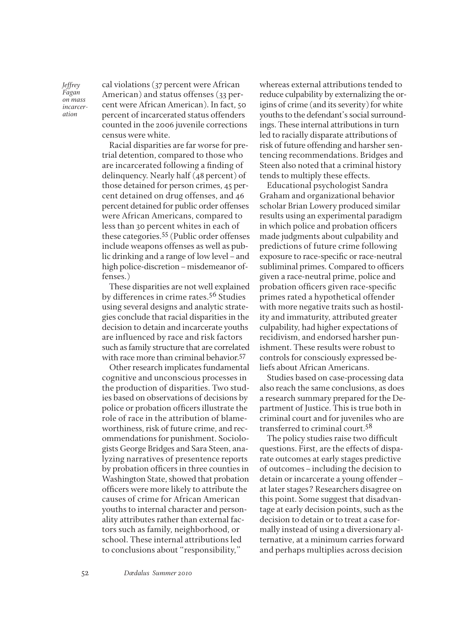cal violations (37 percent were African American) and status offenses (33 percent were African American). In fact, 50 percent of incarcerated status offenders counted in the 2006 juvenile corrections census were white.

Racial disparities are far worse for pretrial detention, compared to those who are incarcerated following a finding of delinquency. Nearly half (48 percent) of those detained for person crimes, 45 percent detained on drug offenses, and 46 percent detained for public order offenses were African Americans, compared to less than 30 percent whites in each of these categories.55 (Public order offenses include weapons offenses as well as public drinking and a range of low level–and high police-discretion–misdemeanor offenses.)

These disparities are not well explained by differences in crime rates.56 Studies using several designs and analytic strategies conclude that racial disparities in the decision to detain and incarcerate youths are influenced by race and risk factors such as family structure that are correlated with race more than criminal behavior.57

Other research implicates fundamental cognitive and unconscious processes in the production of disparities. Two studies based on observations of decisions by police or probation officers illustrate the role of race in the attribution of blameworthiness, risk of future crime, and recommendations for punishment. Sociologists George Bridges and Sara Steen, analyzing narratives of presentence reports by probation officers in three counties in Washington State, showed that probation officers were more likely to attribute the causes of crime for African American youths to internal character and personality attributes rather than external factors such as family, neighborhood, or school. These internal attributions led to conclusions about "responsibility,"

whereas external attributions tended to reduce culpability by externalizing the origins of crime (and its severity) for white youths to the defendant's social surroundings. These internal attributions in turn led to racially disparate attributions of risk of future offending and harsher sentencing recommendations. Bridges and Steen also noted that a criminal history tends to multiply these effects.

Educational psychologist Sandra Graham and organizational behavior scholar Brian Lowery produced similar results using an experimental paradigm in which police and probation officers made judgments about culpability and predictions of future crime following exposure to race-specific or race-neutral subliminal primes. Compared to officers given a race-neutral prime, police and probation officers given race-specific primes rated a hypothetical offender with more negative traits such as hostility and immaturity, attributed greater culpability, had higher expectations of recidivism, and endorsed harsher punishment. These results were robust to controls for consciously expressed beliefs about African Americans.

Studies based on case-processing data also reach the same conclusions, as does a research summary prepared for the Department of Justice. This is true both in criminal court and for juveniles who are transferred to criminal court.58

The policy studies raise two difficult questions. First, are the effects of disparate outcomes at early stages predictive of outcomes–including the decision to detain or incarcerate a young offender– at later stages? Researchers disagree on this point. Some suggest that disadvantage at early decision points, such as the decision to detain or to treat a case formally instead of using a diversionary alternative, at a minimum carries forward and perhaps multiplies across decision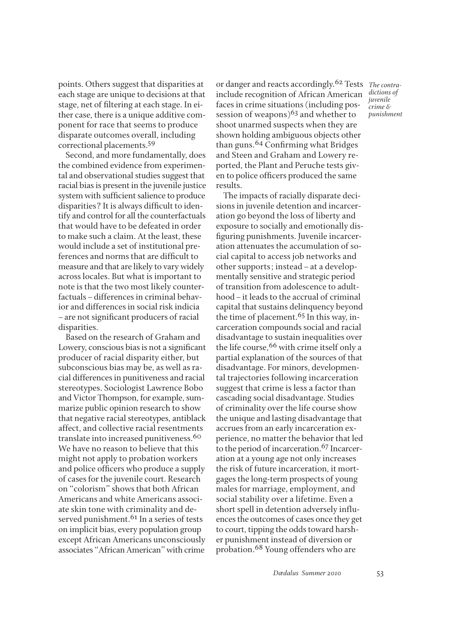points. Others suggest that disparities at each stage are unique to decisions at that stage, net of filtering at each stage. In either case, there is a unique additive component for race that seems to produce disparate outcomes overall, including correctional placements.59

Second, and more fundamentally, does the combined evidence from experimental and observational studies suggest that racial bias is present in the juvenile justice system with sufficient salience to produce disparities? It is always difficult to identify and control for all the counterfactuals that would have to be defeated in order to make such a claim. At the least, these would include a set of institutional preferences and norms that are difficult to measure and that are likely to vary widely across locales. But what is important to note is that the two most likely counterfactuals–differences in criminal behavior and differences in social risk indicia – are not significant producers of racial disparities.

Based on the research of Graham and Lowery, conscious bias is not a significant producer of racial disparity either, but subconscious bias may be, as well as racial differences in punitiveness and racial stereotypes. Sociologist Lawrence Bobo and Victor Thompson, for example, summarize public opinion research to show that negative racial stereotypes, antiblack affect, and collective racial resentments translate into increased punitiveness.<sup>60</sup> We have no reason to believe that this might not apply to probation workers and police officers who produce a supply of cases for the juvenile court. Research on "colorism" shows that both African Americans and white Americans associate skin tone with criminality and deserved punishment.<sup>61</sup> In a series of tests on implicit bias, every population group except African Americans unconsciously associates "African American" with crime

or danger and reacts accordingly.62 Tests *The contra*include recognition of African American faces in crime situations (including possession of weapons) $63$  and whether to shoot unarmed suspects when they are shown holding ambiguous objects other than guns.<sup>64</sup> Confirming what Bridges and Steen and Graham and Lowery reported, the Plant and Peruche tests given to police officers produced the same results.

The impacts of racially disparate decisions in juvenile detention and incarceration go beyond the loss of liberty and exposure to socially and emotionally dis figuring punishments. Juvenile incarceration attenuates the accumulation of social capital to access job networks and other supports; instead–at a developmentally sensitive and strategic period of transition from adolescence to adulthood–it leads to the accrual of criminal capital that sustains delinquency beyond the time of placement.<sup>65</sup> In this way, incarceration compounds social and racial disadvantage to sustain inequalities over the life course,  $66$  with crime itself only a partial explanation of the sources of that disadvantage. For minors, developmental trajectories following incarceration suggest that crime is less a factor than cascading social disadvantage. Studies of criminality over the life course show the unique and lasting disadvantage that accrues from an early incarceration experience, no matter the behavior that led to the period of incarceration.<sup>67</sup> Incarceration at a young age not only increases the risk of future incarceration, it mortgages the long-term prospects of young males for marriage, employment, and social stability over a lifetime. Even a short spell in detention adversely influences the outcomes of cases once they get to court, tipping the odds toward harsher punishment instead of diversion or probation.68 Young offenders who are

*dictions of juvenile crime & punishment*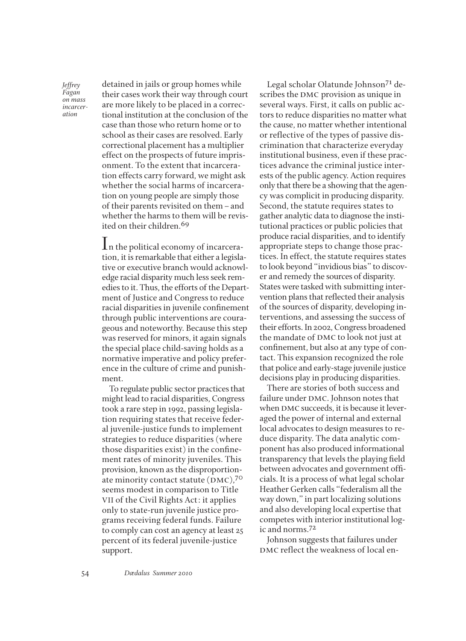detained in jails or group homes while their cases work their way through court are more likely to be placed in a correctional institution at the conclusion of the case than those who return home or to school as their cases are resolved. Early correctional placement has a multiplier effect on the prospects of future imprisonment. To the extent that incarceration effects carry forward, we might ask whether the social harms of incarceration on young people are simply those of their parents revisited on them–and whether the harms to them will be revisited on their children.69

In the political economy of incarceration, it is remarkable that either a legislative or executive branch would acknowledge racial disparity much less seek remedies to it. Thus, the efforts of the Department of Justice and Congress to reduce racial disparities in juvenile confinement through public interventions are courageous and noteworthy. Because this step was reserved for minors, it again signals the special place child-saving holds as a normative imperative and policy preference in the culture of crime and punishment.

To regulate public sector practices that might lead to racial disparities, Congress took a rare step in 1992, passing legislation requiring states that receive federal juvenile-justice funds to implement strategies to reduce disparities (where those disparities exist) in the confinement rates of minority juveniles. This provision, known as the disproportionate minority contact statute  $(DMC),^{70}$ seems modest in comparison to Title VII of the Civil Rights Act: it applies only to state-run juvenile justice programs receiving federal funds. Failure to comply can cost an agency at least 25 percent of its federal juvenile-justice support.

Legal scholar Olatunde Johnson71 describes the DMC provision as unique in several ways. First, it calls on public actors to reduce disparities no matter what the cause, no matter whether intentional or reflective of the types of passive discrimination that characterize everyday institutional business, even if these practices advance the criminal justice interests of the public agency. Action requires only that there be a showing that the agency was complicit in producing disparity. Second, the statute requires states to gather analytic data to diagnose the institutional practices or public policies that produce racial disparities, and to identify appropriate steps to change those practices. In effect, the statute requires states to look beyond "invidious bias" to discover and remedy the sources of disparity. States were tasked with submitting intervention plans that reflected their analysis of the sources of disparity, developing interventions, and assessing the success of their efforts. In 2002, Congress broadened the mandate of DMC to look not just at confinement, but also at any type of contact. This expansion recognized the role that police and early-stage juvenile justice decisions play in producing disparities.

There are stories of both success and failure under DMC. Johnson notes that when DMC succeeds, it is because it leveraged the power of internal and external local advocates to design measures to reduce disparity. The data analytic component has also produced informational transparency that levels the playing field between advocates and government officials. It is a process of what legal scholar Heather Gerken calls "federalism all the way down," in part localizing solutions and also developing local expertise that competes with interior institutional logic and norms.72

Johnson suggests that failures under DMC reflect the weakness of local en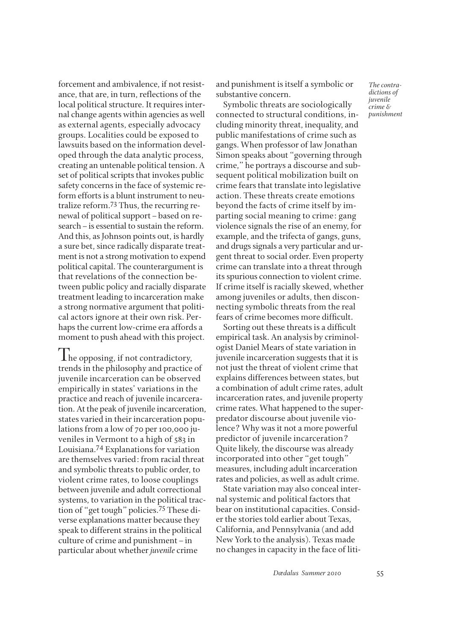forcement and ambivalence, if not resistance, that are, in turn, reflections of the local political structure. It requires internal change agents within agencies as well as external agents, especially advocacy groups. Localities could be exposed to lawsuits based on the information developed through the data analytic process, creating an untenable political tension. A set of political scripts that invokes public safety concerns in the face of systemic reform efforts is a blunt instrument to neutralize reform.73 Thus, the recurring renewal of political support–based on research–is essential to sustain the reform. And this, as Johnson points out, is hardly a sure bet, since radically disparate treatment is not a strong motivation to expend political capital. The counterargument is that revelations of the connection between public policy and racially disparate treatment leading to incarceration make a strong normative argument that political actors ignore at their own risk. Perhaps the current low-crime era affords a moment to push ahead with this project.

The opposing, if not contradictory, trends in the philosophy and practice of juvenile incarceration can be observed empirically in states' variations in the practice and reach of juvenile incarceration. At the peak of juvenile incarceration, states varied in their incarceration populations from a low of 70 per 100,000 juveniles in Vermont to a high of 583 in Louisiana.74 Explanations for variation are themselves varied: from racial threat and symbolic threats to public order, to violent crime rates, to loose couplings between juvenile and adult correctional systems, to variation in the political traction of "get tough" policies.75 These diverse explanations matter because they speak to different strains in the political culture of crime and punishment–in particular about whether *juvenile* crime

and punishment is itself a symbolic or substantive concern.

Symbolic threats are sociologically connected to structural conditions, including minority threat, inequality, and public manifestations of crime such as gangs. When professor of law Jonathan Simon speaks about "governing through crime," he portrays a discourse and subsequent political mobilization built on crime fears that translate into legislative action. These threats create emotions beyond the facts of crime itself by imparting social meaning to crime: gang violence signals the rise of an enemy, for example, and the trifecta of gangs, guns, and drugs signals a very particular and urgent threat to social order. Even property crime can translate into a threat through its spurious connection to violent crime. If crime itself is racially skewed, whether among juveniles or adults, then disconnecting symbolic threats from the real fears of crime becomes more difficult.

Sorting out these threats is a difficult empirical task. An analysis by criminologist Daniel Mears of state variation in juvenile incarceration suggests that it is not just the threat of violent crime that explains differences between states, but a combination of adult crime rates, adult incarceration rates, and juvenile property crime rates. What happened to the superpredator discourse about juvenile violence? Why was it not a more powerful predictor of juvenile incarceration? Quite likely, the discourse was already incorporated into other "get tough" measures, including adult incarceration rates and policies, as well as adult crime.

State variation may also conceal internal systemic and political factors that bear on institutional capacities. Consider the stories told earlier about Texas, California, and Pennsylvania (and add New York to the analysis). Texas made no changes in capacity in the face of liti-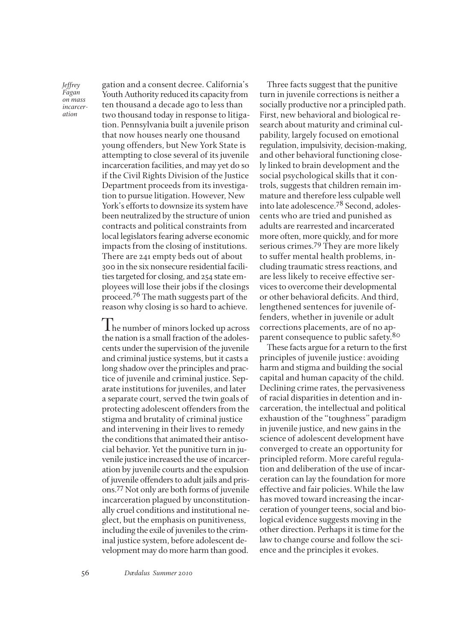gation and a consent decree. California's Youth Authority reduced its capacity from ten thousand a decade ago to less than two thousand today in response to litigation. Pennsylvania built a juvenile prison that now houses nearly one thousand young offenders, but New York State is attempting to close several of its juvenile incarceration facilities, and may yet do so if the Civil Rights Division of the Justice Department proceeds from its investigation to pursue litigation. However, New York's efforts to downsize its system have been neutralized by the structure of union contracts and political constraints from local legislators fearing adverse economic impacts from the closing of institutions. There are 241 empty beds out of about 300 in the six nonsecure residential facilities targeted for closing, and 254 state employees will lose their jobs if the closings proceed.76 The math suggests part of the reason why closing is so hard to achieve.

The number of minors locked up across the nation is a small fraction of the adolescents under the supervision of the juvenile and criminal justice systems, but it casts a long shadow over the principles and practice of juvenile and criminal justice. Separate institutions for juveniles, and later a separate court, served the twin goals of protecting adolescent offenders from the stigma and brutality of criminal justice and intervening in their lives to remedy the conditions that animated their antisocial behavior. Yet the punitive turn in juvenile justice increased the use of incarceration by juvenile courts and the expulsion of juvenile offenders to adult jails and prisons.77 Not only are both forms of juvenile incarceration plagued by unconstitutionally cruel conditions and institutional neglect, but the emphasis on punitiveness, including the exile of juveniles to the criminal justice system, before adolescent development may do more harm than good.

Three facts suggest that the punitive turn in juvenile corrections is neither a socially productive nor a principled path. First, new behavioral and biological research about maturity and criminal culpability, largely focused on emotional regulation, impulsivity, decision-making, and other behavioral functioning closely linked to brain development and the social psychological skills that it controls, suggests that children remain immature and therefore less culpable well into late adolescence.78 Second, adolescents who are tried and punished as adults are rearrested and incarcerated more often, more quickly, and for more serious crimes.79 They are more likely to suffer mental health problems, including traumatic stress reactions, and are less likely to receive effective services to overcome their developmental or other behavioral deficits. And third, lengthened sentences for juvenile offenders, whether in juvenile or adult corrections placements, are of no apparent consequence to public safety.<sup>80</sup>

These facts argue for a return to the first principles of juvenile justice: avoiding harm and stigma and building the social capital and human capacity of the child. Declining crime rates, the pervasiveness of racial disparities in detention and incarceration, the intellectual and political exhaustion of the "toughness" paradigm in juvenile justice, and new gains in the science of adolescent development have converged to create an opportunity for principled reform. More careful regulation and deliberation of the use of incarceration can lay the foundation for more effective and fair policies. While the law has moved toward increasing the incarceration of younger teens, social and biological evidence suggests moving in the other direction. Perhaps it is time for the law to change course and follow the science and the principles it evokes.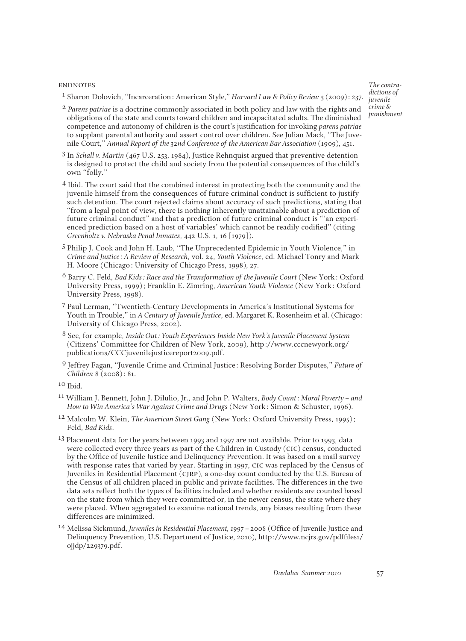#### **ENDNOTES**

1 Sharon Dolovich, "Incarceration: American Style," *Harvard Law & Policy Review* 3 (2009): 237.

- 2 *Parens patriae* is a doctrine commonly associated in both policy and law with the rights and obligations of the state and courts toward children and incapacitated adults. The diminished competence and autonomy of children is the court's justification for invoking *parens patriae* to supplant parental authority and assert control over children. See Julian Mack, "The Juvenile Court," *Annual Report of the 32nd Conference of the American Bar Association* (1909), 451.
- 3 In *Schall v. Martin* (467 U.S. 253, 1984), Justice Rehnquist argued that preventive detention is designed to protect the child and society from the potential consequences of the child's own "folly."
- 4 Ibid. The court said that the combined interest in protecting both the community and the juvenile himself from the consequences of future criminal conduct is sufficient to justify such detention. The court rejected claims about accuracy of such predictions, stating that "from a legal point of view, there is nothing inherently unattainable about a prediction of future criminal conduct" and that a prediction of future criminal conduct is "'an experienced prediction based on a host of variables' which cannot be readily codified" (citing *Greenholtz v. Nebraska Penal Inmates*, 442 U.S. 1, 16 [1979]).
- 5 Philip J. Cook and John H. Laub, "The Unprecedented Epidemic in Youth Violence," in *Crime and Justice: A Review of Research*, vol. 24, *Youth Violence*, ed. Michael Tonry and Mark H. Moore (Chicago: University of Chicago Press, 1998), 27.
- 6 Barry C. Feld, *Bad Kids: Race and the Transformation of the Juvenile Court* (New York: Oxford University Press, 1999); Franklin E. Zimring, *American Youth Violence* (New York: Oxford University Press, 1998).
- 7 Paul Lerman, "Twentieth-Century Developments in America's Institutional Systems for Youth in Trouble," in *A Century of Juvenile Justice*, ed. Margaret K. Rosenheim et al. (Chicago: University of Chicago Press, 2002).
- 8 See, for example, *Inside Out: Youth Experiences Inside New York's Juvenile Placement System* (Citizens' Committee for Children of New York, 2009), http://www.cccnewyork.org/ publications/CCCjuvenilejusticereport2009.pdf.
- 9 Jeffrey Fagan, "Juvenile Crime and Criminal Justice: Resolving Border Disputes," *Future of Children* 8 (2008): 81.

 $10$  Ibid.

- 11 William J. Bennett, John J. Dilulio, Jr., and John P. Walters, *Body Count: Moral Poverty–and How to Win America's War Against Crime and Drugs* (New York: Simon & Schuster, 1996).
- 12 Malcolm W. Klein, *The American Street Gang* (New York: Oxford University Press, 1995); Feld, *Bad Kids*.
- <sup>13</sup> Placement data for the years between 1993 and 1997 are not available. Prior to 1993, data were collected every three years as part of the Children in Custody (cic) census, conducted by the Office of Juvenile Justice and Delinquency Prevention. It was based on a mail survey with response rates that varied by year. Starting in 1997, cic was replaced by the Census of Juveniles in Residential Placement (cjrp), a one-day count conducted by the U.S. Bureau of the Census of all children placed in public and private facilities. The differences in the two data sets reflect both the types of facilities included and whether residents are counted based on the state from which they were committed or, in the newer census, the state where they were placed. When aggregated to examine national trends, any biases resulting from these differences are minimized.
- <sup>14</sup> Melissa Sickmund, *Juveniles in Residential Placement*, 1997 2008 (Office of Juvenile Justice and Delinquency Prevention, U.S. Department of Justice, 2010), http://www.ncjrs.gov/pdffiles1/ ojjdp/229379.pdf.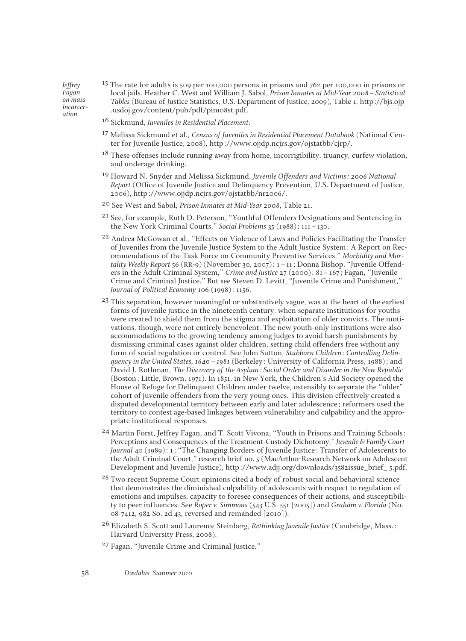- <sup>15</sup> The rate for adults is 509 per 100,000 persons in prisons and 762 per 100,000 in prisons or local jails. Heather C. West and William J. Sabol, *Prison Inmates at Mid-Year 2008–Statistical Tables* (Bureau of Justice Statistics, U.S. Department of Justice, 2009), Table 1, http://bjs.ojp .usdoj.gov/content/pub/pdf/pim08st.pdf.
- 16 Sickmund, *Juveniles in Residential Placement*.
- 17 Melissa Sickmund et al., *Census of Juveniles in Residential Placement Databook* (National Center for Juvenile Justice, 2008), http://www.ojjdp.ncjrs.gov/ojstatbb/cjrp/.
- $18$  These offenses include running away from home, incorrigibility, truancy, curfew violation, and underage drinking.
- 19 Howard N. Snyder and Melissa Sickmund, *Juvenile Offenders and Victims: 2006 National Report* (Office of Juvenile Justice and Delinquency Prevention, U.S. Department of Justice, 2006), http://www.ojjdp.ncjrs.gov/ojstatbb/nr2006/.
- 20 See West and Sabol, *Prison Inmates at Mid-Year 2008*, Table 21.
- <sup>21</sup> See, for example, Ruth D. Peterson, "Youthful Offenders Designations and Sentencing in the New York Criminal Courts," *Social Problems* 35 (1988): 111–130.
- <sup>22</sup> Andrea McGowan et al., "Effects on Violence of Laws and Policies Facilitating the Transfer of Juveniles from the Juvenile Justice System to the Adult Justice System: A Report on Recommendations of the Task Force on Community Preventive Services," *Morbidity and Mortality Weekly Report* 56 (RR-9) (November 30, 2007): 1–11; Donna Bishop, "Juvenile Offenders in the Adult Criminal System," *Crime and Justice* 27 (2000): 81–167; Fagan, "Juvenile Crime and Criminal Justice." But see Steven D. Levitt, "Juvenile Crime and Punishment," *Journal of Political Economy* 106 (1998): 1156.
- $23$  This separation, however meaningful or substantively vague, was at the heart of the earliest forms of juvenile justice in the nineteenth century, when separate institutions for youths were created to shield them from the stigma and exploitation of older convicts. The motivations, though, were not entirely benevolent. The new youth-only institutions were also accommodations to the growing tendency among judges to avoid harsh punishments by dismissing criminal cases against older children, setting child offenders free without any form of social regulation or control. See John Sutton, *Stubborn Children: Controlling Delinquency in the United States, 1640–1981* (Berkeley: University of California Press, 1988); and David J. Rothman, *The Discovery of the Asylum: Social Order and Disorder in the New Republic* (Boston: Little, Brown, 1971). In 1851, in New York, the Children's Aid Society opened the House of Refuge for Delinquent Children under twelve, ostensibly to separate the "older" cohort of juvenile offenders from the very young ones. This division effectively created a disputed developmental territory between early and later adolescence; reformers used the territory to contest age-based linkages between vulnerability and culpability and the appropriate institutional responses.
- 24 Martin Forst, Jeffrey Fagan, and T. Scott Vivona, "Youth in Prisons and Training Schools: Perceptions and Consequences of the Treatment-Custody Dichotomy," *Juvenile & Family Court Journal* 40 (1989): 1; "The Changing Borders of Juvenile Justice: Transfer of Adolescents to the Adult Criminal Court," research brief no. 5 (MacArthur Research Network on Adolescent Development and Juvenile Justice), http://www.adjj.org/downloads/3582issue\_brief\_ 5.pdf.
- <sup>25</sup> Two recent Supreme Court opinions cited a body of robust social and behavioral science that demonstrates the diminished culpability of adolescents with respect to regulation of emotions and impulses, capacity to foresee consequences of their actions, and susceptibility to peer influences. See *Roper v. Simmons* (543 U.S. 551 [2005]) and *Graham v. Florida* (No. 08-7412, 982 So. 2d 43, reversed and remanded [2010]).
- 26 Elizabeth S. Scott and Laurence Steinberg, *Rethinking Juvenile Justice* (Cambridge, Mass.: Harvard University Press, 2008).
- 27 Fagan, "Juvenile Crime and Criminal Justice."

58 *Dædalus Summer 2010*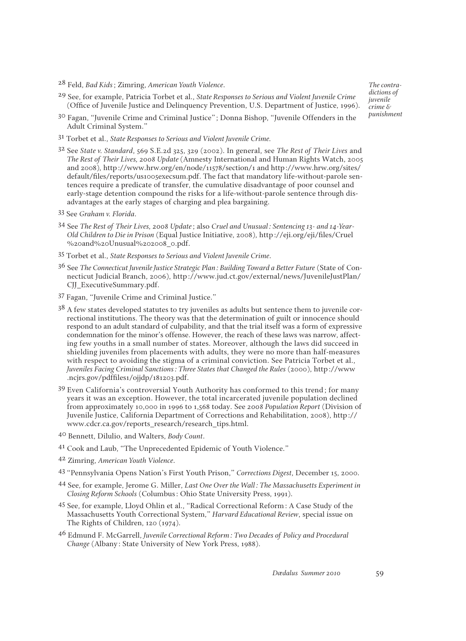- 28 Feld, *Bad Kids*; Zimring, *American Youth Violence*.
- 29 See, for example, Patricia Torbet et al., *State Responses to Serious and Violent Juvenile Crime* (Office of Juvenile Justice and Delinquency Prevention, U.S. Department of Justice, 1996).
- 30 Fagan, "Juvenile Crime and Criminal Justice"; Donna Bishop, "Juvenile Offenders in the Adult Criminal System."
- 31 Torbet et al., *State Responses to Serious and Violent Juvenile Crime.*
- 32 See *State v. Standard*, 569 S.E.2d 325, 329 (2002). In general, see *The Rest of Their Lives* and *The Rest of Their Lives, 2008 Update* (Amnesty International and Human Rights Watch, 2005 and 2008), http://www.hrw.org/en/node/11578/section/1 and http://www.hrw.org/sites/ default/files/reports/us1005execsum.pdf. The fact that mandatory life-without-parole sentences require a predicate of transfer, the cumulative disadvantage of poor counsel and early-stage detention compound the risks for a life-without-parole sentence through disadvantages at the early stages of charging and plea bargaining.
- 33 See *Graham v. Florida*.
- 34 See *The Rest of Their Lives, 2008 Update*; also *Cruel and Unusual: Sentencing 13- and 14-Year-Old Children to Die in Prison* (Equal Justice Initiative, 2008), http://eji.org/eji/½les/Cruel %20and%20Unusual%202008\_0.pdf.
- 35 Torbet et al., *State Responses to Serious and Violent Juvenile Crime*.
- 36 See *The Connecticut Juvenile Justice Strategic Plan: Building Toward a Better Future* (State of Connecticut Judicial Branch, 2006), http://www.jud.ct.gov/external/news/JuvenileJustPlan/ CJJ\_ExecutiveSummary.pdf.
- 37 Fagan, "Juvenile Crime and Criminal Justice."
- $38$  A few states developed statutes to try juveniles as adults but sentence them to juvenile correctional institutions. The theory was that the determination of guilt or innocence should respond to an adult standard of culpability, and that the trial itself was a form of expressive condemnation for the minor's offense. However, the reach of these laws was narrow, affecting few youths in a small number of states. Moreover, although the laws did succeed in shielding juveniles from placements with adults, they were no more than half-measures with respect to avoiding the stigma of a criminal conviction. See Patricia Torbet et al., *Juveniles Facing Criminal Sanctions: Three States that Changed the Rules* (2000), http://www .ncjrs.gov/pdffiles1/ojjdp/181203.pdf.
- 39 Even California's controversial Youth Authority has conformed to this trend; for many years it was an exception. However, the total incarcerated juvenile population declined from approximately 10,000 in 1996 to 1,568 today. See *2008 Population Report* (Division of Juvenile Justice, California Department of Corrections and Rehabilitation, 2008), http:// www.cdcr.ca.gov/reports\_research/research\_tips.html.
- 40 Bennett, Dilulio, and Walters, *Body Count*.
- 41 Cook and Laub, "The Unprecedented Epidemic of Youth Violence."
- 42 Zimring, *American Youth Violence*.
- 43 "Pennsylvania Opens Nation's First Youth Prison," *Corrections Digest*, December 15, 2000.
- 44 See, for example, Jerome G. Miller, *Last One Over the Wall: The Massachusetts Experiment in Closing Reform Schools* (Columbus: Ohio State University Press, 1991).
- 45 See, for example, Lloyd Ohlin et al., "Radical Correctional Reform: A Case Study of the Massachusetts Youth Correctional System," *Harvard Educational Review*, special issue on The Rights of Children, 120 (1974).
- 46 Edmund F. McGarrell, *Juvenile Correctional Reform: Two Decades of Policy and Procedural Change* (Albany: State University of New York Press, 1988).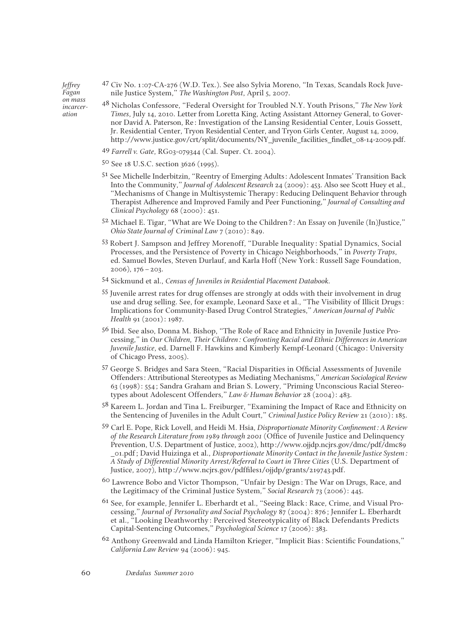- 47 Civ No. 1:07-CA-276 (W.D. Tex.). See also Sylvia Moreno, "In Texas, Scandals Rock Juvenile Justice System," *The Washington Post*, April 5, 2007.
- 48 Nicholas Confessore, "Federal Oversight for Troubled N.Y. Youth Prisons," *The New York Times*, July 14, 2010. Letter from Loretta King, Acting Assistant Attorney General, to Governor David A. Paterson, Re: Investigation of the Lansing Residential Center, Louis Gossett, Jr. Residential Center, Tryon Residential Center, and Tryon Girls Center, August 14, 2009, http://www.justice.gov/crt/split/documents/NY\_juvenile\_facilities\_findlet\_08-14-2009.pdf.
- 49 *Farrell v. Gate*, RG03-079344 (Cal. Super. Ct. 2004).
- 50 See 18 U.S.C. section 3626 (1995).
- 51 See Michelle Inderbitzin, "Reentry of Emerging Adults: Adolescent Inmates' Transition Back Into the Community," *Journal of Adolescent Research* 24 (2009): 453. Also see Scott Huey et al., "Mechanisms of Change in Multisystemic Therapy: Reducing Delinquent Behavior through Therapist Adherence and Improved Family and Peer Functioning," *Journal of Consulting and Clinical Psychology* 68 (2000): 451.
- 52 Michael E. Tigar, "What are We Doing to the Children?: An Essay on Juvenile (In)Justice," *Ohio State Journal of Criminal Law* 7 (2010): 849.
- 53 Robert J. Sampson and Jeffrey Morenoff, "Durable Inequality: Spatial Dynamics, Social Processes, and the Persistence of Poverty in Chicago Neighborhoods," in *Poverty Traps*, ed. Samuel Bowles, Steven Durlauf, and Karla Hoff (New York: Russell Sage Foundation, 2006), 176–203.
- 54 Sickmund et al., *Census of Juveniles in Residential Placement Databook*.
- 55 Juvenile arrest rates for drug offenses are strongly at odds with their involvement in drug use and drug selling. See, for example, Leonard Saxe et al., "The Visibility of Illicit Drugs: Implications for Community-Based Drug Control Strategies," *American Journal of Public Health* 91 (2001): 1987.
- 56 Ibid. See also, Donna M. Bishop, "The Role of Race and Ethnicity in Juvenile Justice Processing," in *Our Children, Their Children: Confronting Racial and Ethnic Differences in American Juvenile Justice*, ed. Darnell F. Hawkins and Kimberly Kempf-Leonard (Chicago: University of Chicago Press, 2005).
- 57 George S. Bridges and Sara Steen, "Racial Disparities in Official Assessments of Juvenile Offenders: Attributional Stereotypes as Mediating Mechanisms," *American Sociological Review* 63 (1998): 554; Sandra Graham and Brian S. Lowery, "Priming Unconscious Racial Stereotypes about Adolescent Offenders," *Law & Human Behavior* 28 (2004): 483.
- 58 Kareem L. Jordan and Tina L. Freiburger, "Examining the Impact of Race and Ethnicity on the Sentencing of Juveniles in the Adult Court," *Criminal Justice Policy Review* 21 (2010): 185.
- 59 Carl E. Pope, Rick Lovell, and Heidi M. Hsia, *Disproportionate Minority Confinement: A Review* of the Research Literature from 1989 through 2001 (Office of Juvenile Justice and Delinquency Prevention, U.S. Department of Justice, 2002), http://www.ojjdp.ncjrs.gov/dmc/pdf/dmc89 \_01.pdf; David Huizinga et al., *Disproportionate Minority Contact in the Juvenile Justice System: A Study of Differential Minority Arrest/Referral to Court in Three Cities* (U.S. Department of Justice, 2007), http://www.ncjrs.gov/pdffiles1/ojjdp/grants/219743.pdf.
- 60 Lawrence Bobo and Victor Thompson, "Unfair by Design: The War on Drugs, Race, and the Legitimacy of the Criminal Justice System," *Social Research* 73 (2006): 445.
- 61 See, for example, Jennifer L. Eberhardt et al., "Seeing Black: Race, Crime, and Visual Processing," *Journal of Personality and Social Psychology* 87 (2004): 876; Jennifer L. Eberhardt et al., "Looking Deathworthy: Perceived Stereotypicality of Black Defendants Predicts Capital-Sentencing Outcomes," *Psychological Science* 17 (2006): 383.
- $62$  Anthony Greenwald and Linda Hamilton Krieger, "Implicit Bias: Scientific Foundations," *California Law Review* 94 (2006): 945.

60 *Dædalus Summer 2010*